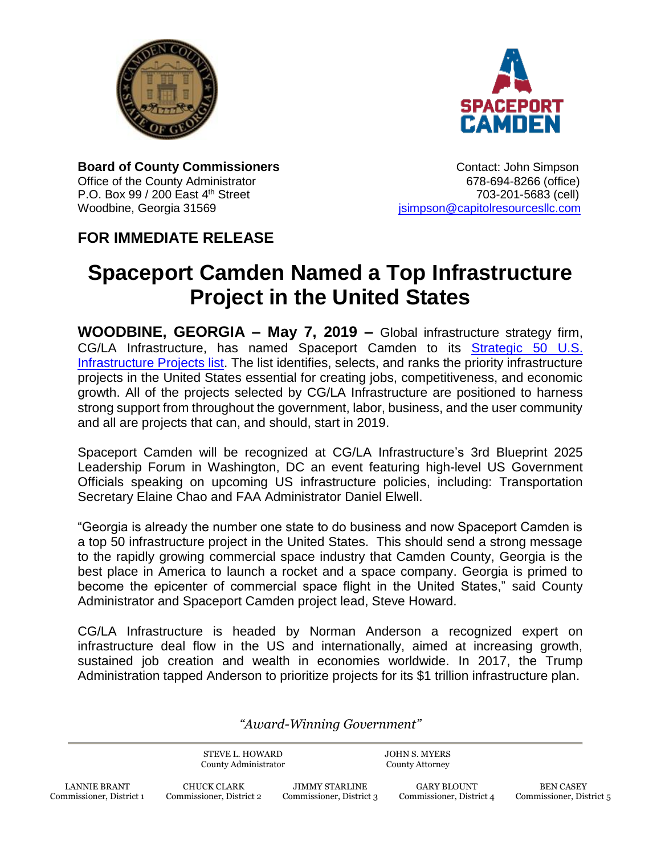



**Board of County Commissioners CONTER 1989** Contact: John Simpson Office of the County Administrator 678-694-8266 (office) P.O. Box 99 / 200 East 4th Street 703-201-5683 (cell) Woodbine, Georgia 31569 **journalist entity of the Capitol**resourcesllc.com

## **FOR IMMEDIATE RELEASE**

## **Spaceport Camden Named a Top Infrastructure Project in the United States**

**WOODBINE, GEORGIA – May 7, 2019 –** Global infrastructure strategy firm, CG/LA Infrastructure, has named Spaceport Camden to its [Strategic 50 U.S.](https://www.cg-la.com/documents/Blueprint/3/Strategic-50-Projects-List-2019.pdf)  [Infrastructure Projects list.](https://www.cg-la.com/documents/Blueprint/3/Strategic-50-Projects-List-2019.pdf) The list identifies, selects, and ranks the priority infrastructure projects in the United States essential for creating jobs, competitiveness, and economic growth. All of the projects selected by CG/LA Infrastructure are positioned to harness strong support from throughout the government, labor, business, and the user community and all are projects that can, and should, start in 2019.

Spaceport Camden will be recognized at CG/LA Infrastructure's 3rd Blueprint 2025 Leadership Forum in Washington, DC an event featuring high-level US Government Officials speaking on upcoming US infrastructure policies, including: Transportation Secretary Elaine Chao and FAA Administrator Daniel Elwell.

"Georgia is already the number one state to do business and now Spaceport Camden is a top 50 infrastructure project in the United States. This should send a strong message to the rapidly growing commercial space industry that Camden County, Georgia is the best place in America to launch a rocket and a space company. Georgia is primed to become the epicenter of commercial space flight in the United States," said County Administrator and Spaceport Camden project lead, Steve Howard.

CG/LA Infrastructure is headed by Norman Anderson a recognized expert on infrastructure deal flow in the US and internationally, aimed at increasing growth, sustained job creation and wealth in economies worldwide. In 2017, the Trump Administration tapped Anderson to prioritize projects for its \$1 trillion infrastructure plan.

*"Award-Winning Government"*

STEVE L. HOWARD County Administrator JOHN S. MYERS County Attorney

JIMMY STARLINE Commissioner, District 3

GARY BLOUNT Commissioner, District 4

BEN CASEY Commissioner, District 5